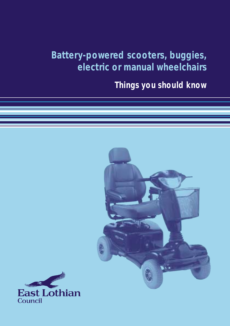**Battery-powered scooters, buggies, electric or manual wheelchairs**

**Things you should know**



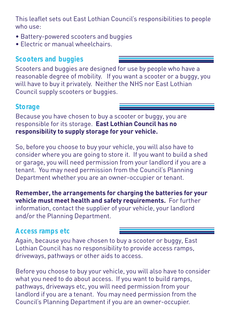This leaflet sets out East Lothian Council's responsibilities to people who use:

- Battery-powered scooters and buggies
- Electric or manual wheelchairs.

# **Scooters and buggies**

Scooters and buggies are designed for use by people who have a reasonable degree of mobility. If you want a scooter or a buggy, you will have to buy it privately. Neither the NHS nor East Lothian Council supply scooters or buggies.

# **Storage**

Because you have chosen to buy a scooter or buggy, you are responsible for its storage. **East Lothian Council has no responsibility to supply storage for your vehicle.** 

So, before you choose to buy your vehicle, you will also have to consider where you are going to store it. If you want to build a shed or garage, you will need permission from your landlord if you are a tenant. You may need permission from the Council's Planning Department whether you are an owner-occupier or tenant.

**Remember, the arrangements for charging the batteries for your vehicle must meet health and safety requirements.** For further information, contact the supplier of your vehicle, your landlord and/or the Planning Department.

## **Access ramps etc**

Again, because you have chosen to buy a scooter or buggy, East Lothian Council has no responsibility to provide access ramps, driveways, pathways or other aids to access.

Before you choose to buy your vehicle, you will also have to consider what you need to do about access. If you want to build ramps, pathways, driveways etc, you will need permission from your landlord if you are a tenant. You may need permission from the Council's Planning Department if you are an owner-occupier.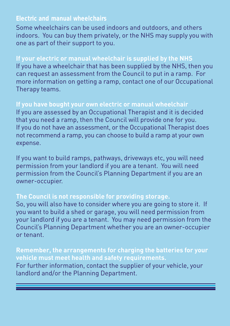### **Electric and manual wheelchairs**

Some wheelchairs can be used indoors and outdoors, and others indoors. You can buy them privately, or the NHS may supply you with one as part of their support to you.

### **If your electric or manual wheelchair is supplied by the NHS**

If you have a wheelchair that has been supplied by the NHS, then you can request an assessment from the Council to put in a ramp. For more information on getting a ramp, contact one of our Occupational Therapy teams.

**If you have bought your own electric or manual wheelchair** If you are assessed by an Occupational Therapist and it is decided that you need a ramp, then the Council will provide one for you. If you do not have an assessment, or the Occupational Therapist does not recommend a ramp, you can choose to build a ramp at your own expense.

If you want to build ramps, pathways, driveways etc, you will need permission from your landlord if you are a tenant. You will need permission from the Council's Planning Department if you are an owner-occupier.

#### **The Council is not responsible for providing storage.**

So, you will also have to consider where you are going to store it. If you want to build a shed or garage, you will need permission from your landlord if you are a tenant. You may need permission from the Council's Planning Department whether you are an owner-occupier or tenant.

**Remember, the arrangements for charging the batteries for your vehicle must meet health and safety requirements.** For further information, contact the supplier of your vehicle, your landlord and/or the Planning Department.